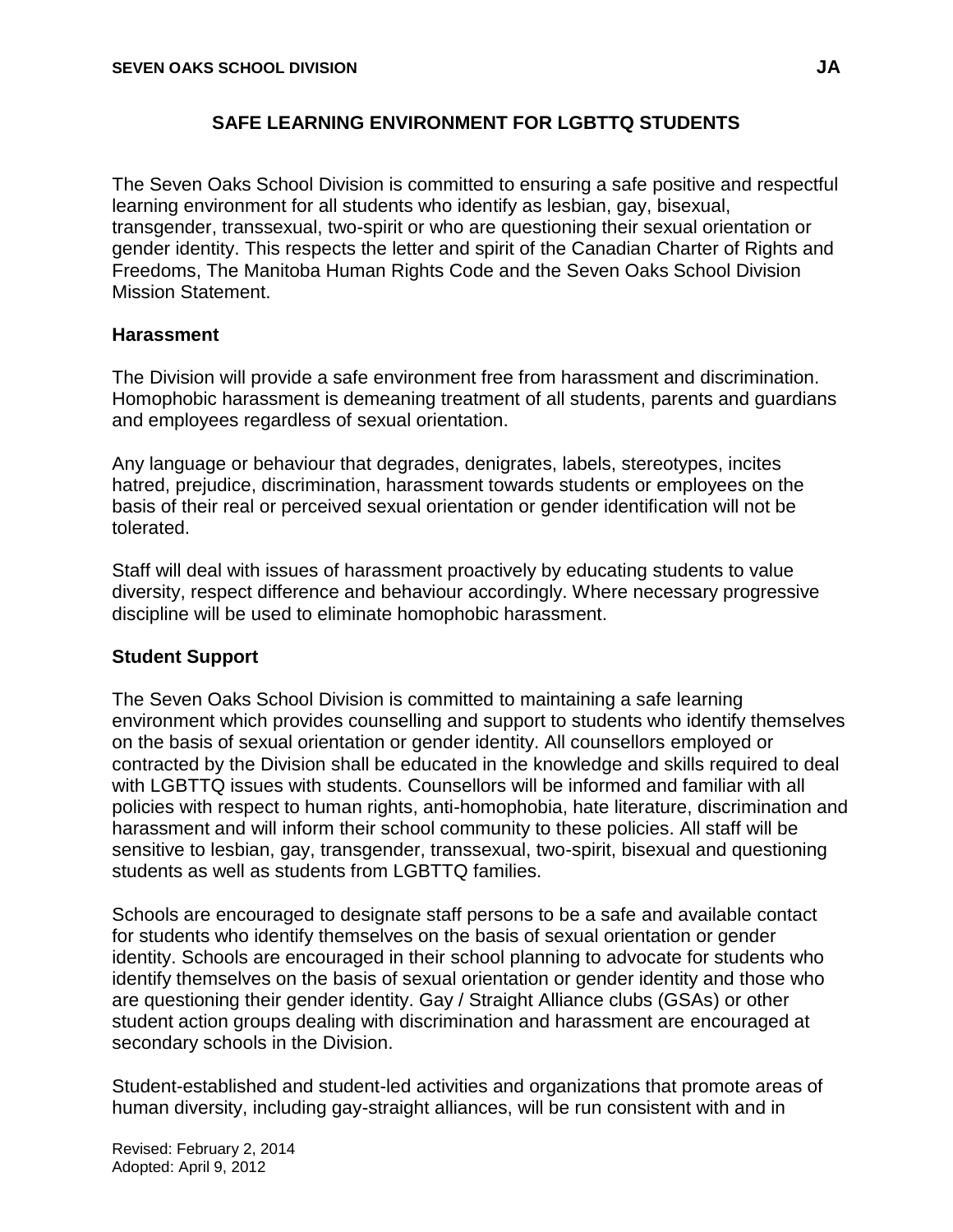# **SAFE LEARNING ENVIRONMENT FOR LGBTTQ STUDENTS**

The Seven Oaks School Division is committed to ensuring a safe positive and respectful learning environment for all students who identify as lesbian, gay, bisexual, transgender, transsexual, two-spirit or who are questioning their sexual orientation or gender identity. This respects the letter and spirit of the Canadian Charter of Rights and Freedoms, The Manitoba Human Rights Code and the Seven Oaks School Division Mission Statement.

#### **Harassment**

The Division will provide a safe environment free from harassment and discrimination. Homophobic harassment is demeaning treatment of all students, parents and guardians and employees regardless of sexual orientation.

Any language or behaviour that degrades, denigrates, labels, stereotypes, incites hatred, prejudice, discrimination, harassment towards students or employees on the basis of their real or perceived sexual orientation or gender identification will not be tolerated.

Staff will deal with issues of harassment proactively by educating students to value diversity, respect difference and behaviour accordingly. Where necessary progressive discipline will be used to eliminate homophobic harassment.

### **Student Support**

The Seven Oaks School Division is committed to maintaining a safe learning environment which provides counselling and support to students who identify themselves on the basis of sexual orientation or gender identity. All counsellors employed or contracted by the Division shall be educated in the knowledge and skills required to deal with LGBTTQ issues with students. Counsellors will be informed and familiar with all policies with respect to human rights, anti-homophobia, hate literature, discrimination and harassment and will inform their school community to these policies. All staff will be sensitive to lesbian, gay, transgender, transsexual, two-spirit, bisexual and questioning students as well as students from LGBTTO families.

Schools are encouraged to designate staff persons to be a safe and available contact for students who identify themselves on the basis of sexual orientation or gender identity. Schools are encouraged in their school planning to advocate for students who identify themselves on the basis of sexual orientation or gender identity and those who are questioning their gender identity. Gay / Straight Alliance clubs (GSAs) or other student action groups dealing with discrimination and harassment are encouraged at secondary schools in the Division.

Student-established and student-led activities and organizations that promote areas of human diversity, including gay-straight alliances, will be run consistent with and in